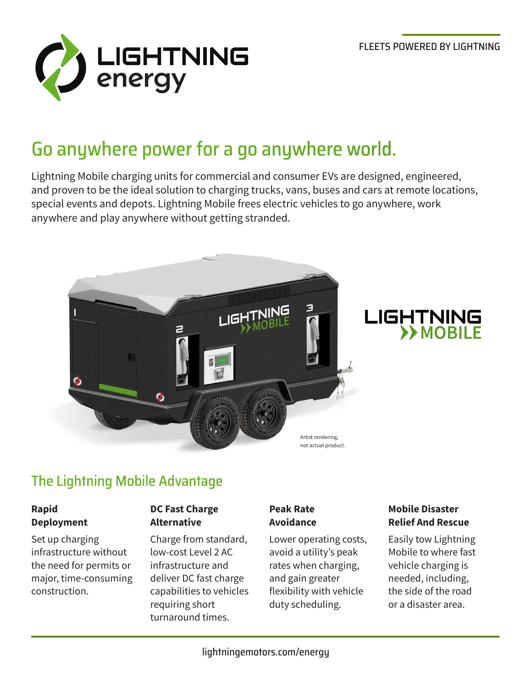#### FLEETS POWERED BY LIGHTNING



# Go anywhere power for a go anywhere world.

Lightning Mobile charging units for commercial and consumer EVs are designed, engineered, and proven to be the ideal solution to charging trucks, vans, buses and cars at remote locations, special events and depots. Lightning Mobile frees electric vehicles to go anywhere, work anywhere and play anywhere without getting stranded.



# LIGHTNING

## The Lightning Mobile Advantage

#### **Rapid Deployment**

Set up charging infrastructure without the need for permits or major, time-consuming construction.

#### **DC Fast Charge Alternative**

Charge from standard, low-cost Level 2 AC infrastructure and deliver DC fast charge capabilities to vehicles requiring short turnaround times.

#### **Peak Rate Avoidance**

Lower operating costs, avoid a utility's peak rates when charging, and gain greater flexibility with vehicle duty scheduling.

#### **Mobile Disaster Relief And Rescue**

Easily tow Lightning Mobile to where fast vehicle charging is needed, including, the side of the road or a disaster area.